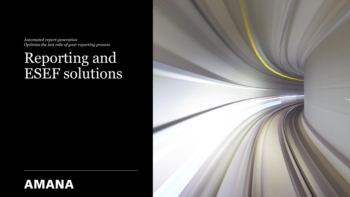*Automated report generation Optimize the last mile of your reporting process* 

# Reporting and ESEF solutions



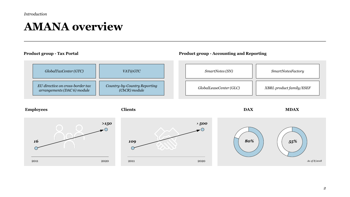*Introduction*

### **AMANA overview**

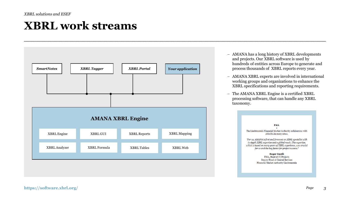# **XBRL work streams**



- − AMANA has a long history of XBRL developments and projects. Our XBRL software is used by hundreds of entities across Europe to generate and process thousands of XBRL reports every year.
- − AMANA XBRL experts are involved in international working groups and organizations to enhance the XBRL specifications and reporting requirements.
- − The AMANA XBRL Engine is a certified XBRL processing software, that can handle any XBRL taxonomy.

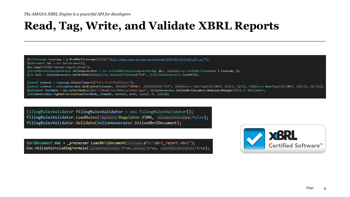# **Read, Tag, Write, and Validate XBRL Reports**

XbrlTaxonomy taxonomy = p.ReadXbrlTaxonomy(filename:"http://www.esma.europa.eu/taxonomy/2019-03-27/esef all.xsd");  $Xm1$ Document doc = new  $Xm1$ Document(); doc.Load(filename: "annual-report.xhtml"); InlineXbrlInstanceGenerator inlineGenerator = new InlineXbrlInstanceGenerator(p, doc, taxonomies:new List<XbrlTaxonomy> { taxonomy }); Unit unit = inlineGenerator.GetOrAddUnit(measure:new XmlQualifiedName("EUR", ns:XbrlBaseConstants.Iso4217));

Element element = taxonomy.GlobalElements["ifrs-full:ProfitLoss"];

Context context = inlineGenerator.AddContext(element, identifier:"AMANA", identifierschema:"LEI", startDate:new DateTime(year:2017, month:1, day:1), endDate:new DateTime(year:2017, month:12, day:31); XmlElement factNode = doc.SelectNodes(xpath:"//xhtml:td/xhtml:p/xhtml:span", inlineGenerator.InlineXbrlDocument.NamespaceManager)?[7] as XmlElement; inlineGenerator.TagNonFractionItem(factNode, element, context, unit, decimals: -6, scale: 6);

FilingRulesValidator filingRulesValidator = new FilingRulesValidator(); filingRulesValidator.LoadRules(regulators:Regulator.ESMA, validateInstanceName:false); filingRulesValidator.Validate(inlineGenerator.InlineXbrlDocument);

XbrlDocument doc = \_processor.LoadXbrlDocument(filename: $@"c:\xbr1$  report.xbrl"); doc.ValidateIncludingFormula(validateTaxonomies:true, verbose:true, attachResultsToFacts:true);

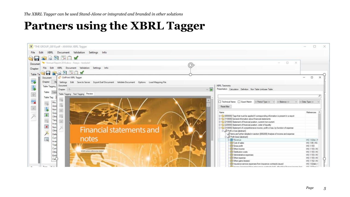# **Partners using the XBRL Tagger**

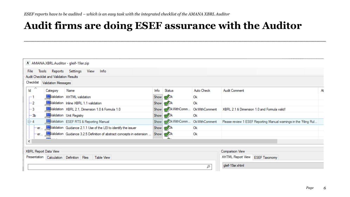#### **Audit firms are doing ESEF assurance with the Auditor**

|                       | $ X $ AMANA.XBRL.Auditor - gleif-19ar.zip |                                                                           |      |                                 |                      |                                                                  |    |
|-----------------------|-------------------------------------------|---------------------------------------------------------------------------|------|---------------------------------|----------------------|------------------------------------------------------------------|----|
| File                  |                                           | Tools Reports Settings View<br>Info                                       |      |                                 |                      |                                                                  |    |
|                       | Audit Checklist and Validation Results    |                                                                           |      |                                 |                      |                                                                  |    |
| Checklist             | <b>Validation Messages</b>                |                                                                           |      |                                 |                      |                                                                  |    |
| ∧<br>Id               | Category                                  | Name                                                                      | Info | Status                          | Auto Check           | <b>Audit Comment</b>                                             | At |
| гi                    |                                           | Validation XHTML validation                                               |      | Show & Ok                       | <b>Ok</b>            |                                                                  |    |
| $^{-2}$               |                                           | Validation Inline XBRL 1.1 validation                                     | Show | k ∫Ok                           | Ok                   |                                                                  |    |
| $-3$                  |                                           | Validation XBRL 2.1, Dimension 1.0 & Formula 1.0                          |      | Show N/OkWithComm OkWithComment |                      | XBRL 2.1 & Dimension 1.0 and Formula valid!                      |    |
| $-3b$                 |                                           | Validation Unit Registry                                                  |      | Show $\bigotimes$ Ok            | <b>Ok</b>            |                                                                  |    |
| $\overline{\oplus}$ 4 |                                           | Validation ESEF RTS & Reporting Manual                                    |      | Show <b>OkWithComm</b>          | <b>OkWithComment</b> | Please review 1 ESEF Reporting Manual wamings in the 'Filing Rul |    |
|                       | ∙er…                                      | Validation Guidance 2.1.1 Use of the LEI to identify the issuer           |      | Show $\bigotimes$ Ok            | <b>Ok</b>            |                                                                  |    |
|                       |                                           | er Validation Guidance 3.2.5 Definition of abstract concepts in extension |      | Show $\bigotimes$ Ok            | 0 <sup>k</sup>       |                                                                  |    |
| ⋖                     | <b>Contractor</b>                         |                                                                           |      | <b>A.</b>                       |                      |                                                                  |    |
|                       | XBRL Report Data View                     |                                                                           |      |                                 |                      | Comparison View                                                  |    |
|                       |                                           |                                                                           |      |                                 |                      |                                                                  |    |
|                       | Presentation Calculation Definition Files | <b>Table View</b>                                                         |      |                                 |                      | XHTML Report View<br><b>ESEF Taxonomy</b>                        |    |
|                       |                                           |                                                                           |      |                                 | Q                    | gleif-19ar.xhtml                                                 |    |
|                       |                                           |                                                                           |      |                                 |                      |                                                                  |    |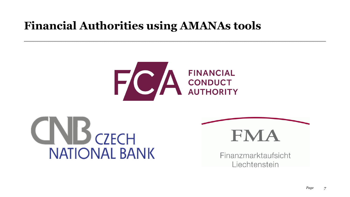# **Financial Authorities using AMANAs tools**







Finanzmarktaufsicht Liechtenstein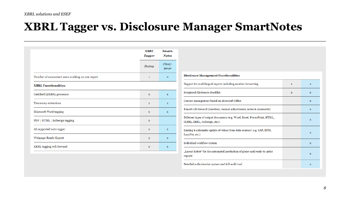### **XBRL Tagger vs. Disclosure Manager SmartNotes**

|                                                  | <b>XBRL</b><br>Tagger | Smart-<br><b>Notes</b> |  |
|--------------------------------------------------|-----------------------|------------------------|--|
|                                                  | Desktop               | Client/-<br>Server     |  |
| Number of concurrent users working on one report | 1                     | $\infty$               |  |
| <b>XBRL Functionalities</b>                      |                       |                        |  |
| Certified (i)XBRL processor                      | $\mathbf{x}$          | $\mathbf{x}$           |  |
| Taxonomy extensions                              | $\mathbf{x}$          | $\mathbf x$            |  |
| Microsoft Word tagging                           | $\mathbf{x}$          | $\mathbf x$            |  |
| PDF   HTML   InDesign tagging                    | $\mathbf{x}$          |                        |  |
| AI supported auto tagger                         | $\mathbf{x}$          | $\mathbf{x}$           |  |
| Webpage-Ready-Export                             | $\mathbf{x}$          | X                      |  |
| XBRL tagging roll-forward                        | $\mathbf x$           | $\mathbf x$            |  |

| <b>Disclosure Management Functionalities</b>                                                             |             |             |  |  |
|----------------------------------------------------------------------------------------------------------|-------------|-------------|--|--|
| Support for multilingual reports including number formatting                                             | x           | x           |  |  |
| Integrated disclosure checklist                                                                          | $\mathbf x$ | $\mathbf x$ |  |  |
| Content management based on Microsoft Office                                                             |             | $\mathbf x$ |  |  |
| Report roll-forward (numbers, manual adjustments, notes & comments)                                      |             | $\mathbf x$ |  |  |
| Different types of output documents (e.g. Word, Excel, PowerPoint, HTML,<br>iXBRL, XBRL, InDesign, etc.) |             | x           |  |  |
| Linking & automatic update of values from data sources (e.g. SAP, HFM,<br>LucaNet, etc.)                 |             | $\mathbf x$ |  |  |
| Individual workflow system                                                                               |             | x           |  |  |
| "Layout Robot" for the automated production of glossy and ready-to-print<br>reports                      |             | $\mathbf x$ |  |  |
| Detailed authorisation system and full audit trail                                                       |             | x           |  |  |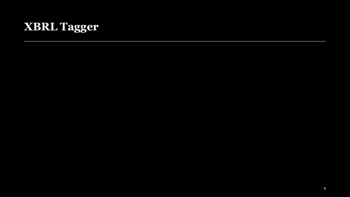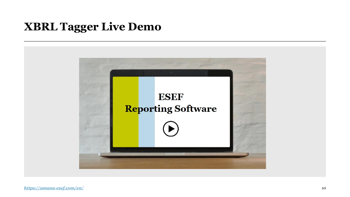# **XBRL Tagger Live Demo**

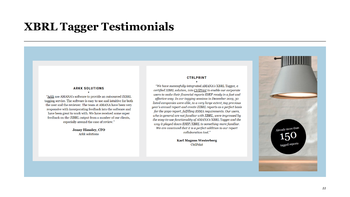#### **XBRL Tagger Testimonials**

#### **ARKK SOLUTIONS**

"Arkk use AMANA's software to provide an outsourced iXBRL tagging service. The software is easy to use and intuitive for both the user and the reviewer. The team at AMANA have been very responsive with incorporating feedback into the software and have been great to work with. We have received some super feedback on the iXBRL output from a number of our clients, especially around the ease of review."

> **Jenny Himsley, CFO** Arkk solutions

#### **CTRLPRINT**

"We have successfully integrated AMANA's XBRL Tagger, a certified XBRL solution, into CtrlPrint to enable our corporate users to make their financial reports ESEF-ready in a fast and effective way. In our tagging sessions in December 2019, 30 listed companies were able, to a very large extent, tag previous year's annual report and create iXBRL reports as a perfect basis for the 2020 report, fulfilling ESMA requirements. Our users, who in general are not familiar with XBRL, were impressed by the easy-to-use functionality of AMANA's XBRL Tagger and the way it played down ESEF/XBRL to something more familiar. We are convinced that it is a perfect addition to our report collaboration tool."

> **Karl Magnus Westerberg CtrlPrint**

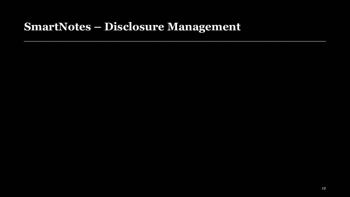### **SmartNotes – Disclosure Management**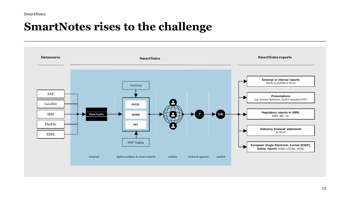*SmartNotes*

# **SmartNotes rises to the challenge**

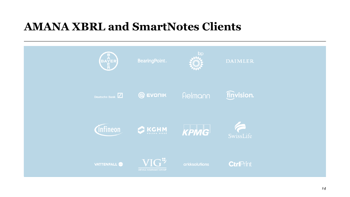# **AMANA XBRL and SmartNotes Clients**